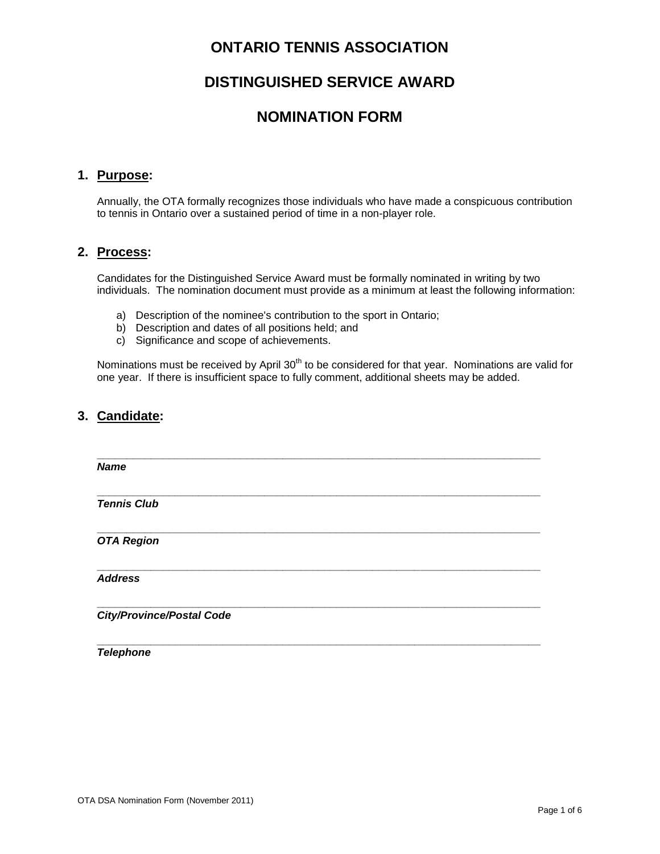## **DISTINGUISHED SERVICE AWARD**

#### **NOMINATION FORM**

#### **1. Purpose:**

Annually, the OTA formally recognizes those individuals who have made a conspicuous contribution to tennis in Ontario over a sustained period of time in a non-player role.

#### **2. Process:**

Candidates for the Distinguished Service Award must be formally nominated in writing by two individuals. The nomination document must provide as a minimum at least the following information:

- a) Description of the nominee's contribution to the sport in Ontario;
- b) Description and dates of all positions held; and
- c) Significance and scope of achievements.

Nominations must be received by April 30<sup>th</sup> to be considered for that year. Nominations are valid for one year. If there is insufficient space to fully comment, additional sheets may be added.

#### **3. Candidate:**

| <b>Name</b>                      |  |  |
|----------------------------------|--|--|
| <b>Tennis Club</b>               |  |  |
| <b>OTA Region</b>                |  |  |
| <b>Address</b>                   |  |  |
| <b>City/Province/Postal Code</b> |  |  |
| <b>Telephone</b>                 |  |  |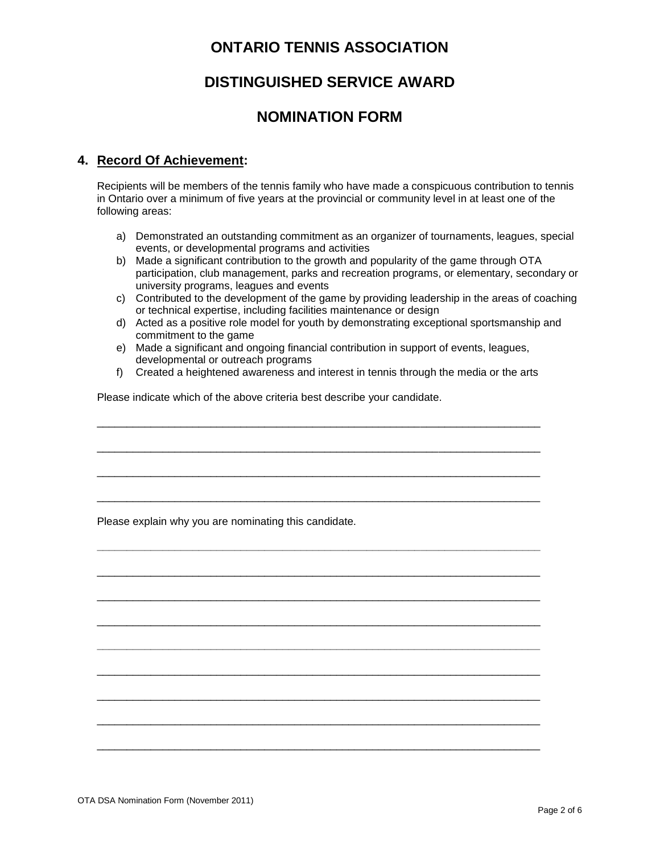## **DISTINGUISHED SERVICE AWARD**

#### **NOMINATION FORM**

#### **4. Record Of Achievement:**

Recipients will be members of the tennis family who have made a conspicuous contribution to tennis in Ontario over a minimum of five years at the provincial or community level in at least one of the following areas:

- a) Demonstrated an outstanding commitment as an organizer of tournaments, leagues, special events, or developmental programs and activities
- b) Made a significant contribution to the growth and popularity of the game through OTA participation, club management, parks and recreation programs, or elementary, secondary or university programs, leagues and events
- c) Contributed to the development of the game by providing leadership in the areas of coaching or technical expertise, including facilities maintenance or design
- d) Acted as a positive role model for youth by demonstrating exceptional sportsmanship and commitment to the game
- e) Made a significant and ongoing financial contribution in support of events, leagues, developmental or outreach programs

\_\_\_\_\_\_\_\_\_\_\_\_\_\_\_\_\_\_\_\_\_\_\_\_\_\_\_\_\_\_\_\_\_\_\_\_\_\_\_\_\_\_\_\_\_\_\_\_\_\_\_\_\_\_\_\_\_\_\_\_\_\_\_\_\_\_\_\_\_\_\_\_\_\_

\_\_\_\_\_\_\_\_\_\_\_\_\_\_\_\_\_\_\_\_\_\_\_\_\_\_\_\_\_\_\_\_\_\_\_\_\_\_\_\_\_\_\_\_\_\_\_\_\_\_\_\_\_\_\_\_\_\_\_\_\_\_\_\_\_\_\_\_\_\_\_\_\_\_

\_\_\_\_\_\_\_\_\_\_\_\_\_\_\_\_\_\_\_\_\_\_\_\_\_\_\_\_\_\_\_\_\_\_\_\_\_\_\_\_\_\_\_\_\_\_\_\_\_\_\_\_\_\_\_\_\_\_\_\_\_\_\_\_\_\_\_\_\_\_\_\_\_\_

\_\_\_\_\_\_\_\_\_\_\_\_\_\_\_\_\_\_\_\_\_\_\_\_\_\_\_\_\_\_\_\_\_\_\_\_\_\_\_\_\_\_\_\_\_\_\_\_\_\_\_\_\_\_\_\_\_\_\_\_\_\_\_\_\_\_\_\_\_\_\_\_\_\_

**\_\_\_\_\_\_\_\_\_\_\_\_\_\_\_\_\_\_\_\_\_\_\_\_\_\_\_\_\_\_\_\_\_\_\_\_\_\_\_\_\_\_\_\_\_\_\_\_\_\_\_\_\_\_\_\_\_\_\_\_\_\_\_\_\_\_\_\_\_\_\_\_\_\_**

\_\_\_\_\_\_\_\_\_\_\_\_\_\_\_\_\_\_\_\_\_\_\_\_\_\_\_\_\_\_\_\_\_\_\_\_\_\_\_\_\_\_\_\_\_\_\_\_\_\_\_\_\_\_\_\_\_\_\_\_\_\_\_\_\_\_\_\_\_\_\_\_\_\_

\_\_\_\_\_\_\_\_\_\_\_\_\_\_\_\_\_\_\_\_\_\_\_\_\_\_\_\_\_\_\_\_\_\_\_\_\_\_\_\_\_\_\_\_\_\_\_\_\_\_\_\_\_\_\_\_\_\_\_\_\_\_\_\_\_\_\_\_\_\_\_\_\_\_

\_\_\_\_\_\_\_\_\_\_\_\_\_\_\_\_\_\_\_\_\_\_\_\_\_\_\_\_\_\_\_\_\_\_\_\_\_\_\_\_\_\_\_\_\_\_\_\_\_\_\_\_\_\_\_\_\_\_\_\_\_\_\_\_\_\_\_\_\_\_\_\_\_\_

**\_\_\_\_\_\_\_\_\_\_\_\_\_\_\_\_\_\_\_\_\_\_\_\_\_\_\_\_\_\_\_\_\_\_\_\_\_\_\_\_\_\_\_\_\_\_\_\_\_\_\_\_\_\_\_\_\_\_\_\_\_\_\_\_\_\_\_\_\_\_\_\_\_\_**

\_\_\_\_\_\_\_\_\_\_\_\_\_\_\_\_\_\_\_\_\_\_\_\_\_\_\_\_\_\_\_\_\_\_\_\_\_\_\_\_\_\_\_\_\_\_\_\_\_\_\_\_\_\_\_\_\_\_\_\_\_\_\_\_\_\_\_\_\_\_\_\_\_\_

\_\_\_\_\_\_\_\_\_\_\_\_\_\_\_\_\_\_\_\_\_\_\_\_\_\_\_\_\_\_\_\_\_\_\_\_\_\_\_\_\_\_\_\_\_\_\_\_\_\_\_\_\_\_\_\_\_\_\_\_\_\_\_\_\_\_\_\_\_\_\_\_\_\_

\_\_\_\_\_\_\_\_\_\_\_\_\_\_\_\_\_\_\_\_\_\_\_\_\_\_\_\_\_\_\_\_\_\_\_\_\_\_\_\_\_\_\_\_\_\_\_\_\_\_\_\_\_\_\_\_\_\_\_\_\_\_\_\_\_\_\_\_\_\_\_\_\_\_

\_\_\_\_\_\_\_\_\_\_\_\_\_\_\_\_\_\_\_\_\_\_\_\_\_\_\_\_\_\_\_\_\_\_\_\_\_\_\_\_\_\_\_\_\_\_\_\_\_\_\_\_\_\_\_\_\_\_\_\_\_\_\_\_\_\_\_\_\_\_\_\_\_\_

f) Created a heightened awareness and interest in tennis through the media or the arts

Please indicate which of the above criteria best describe your candidate.

Please explain why you are nominating this candidate.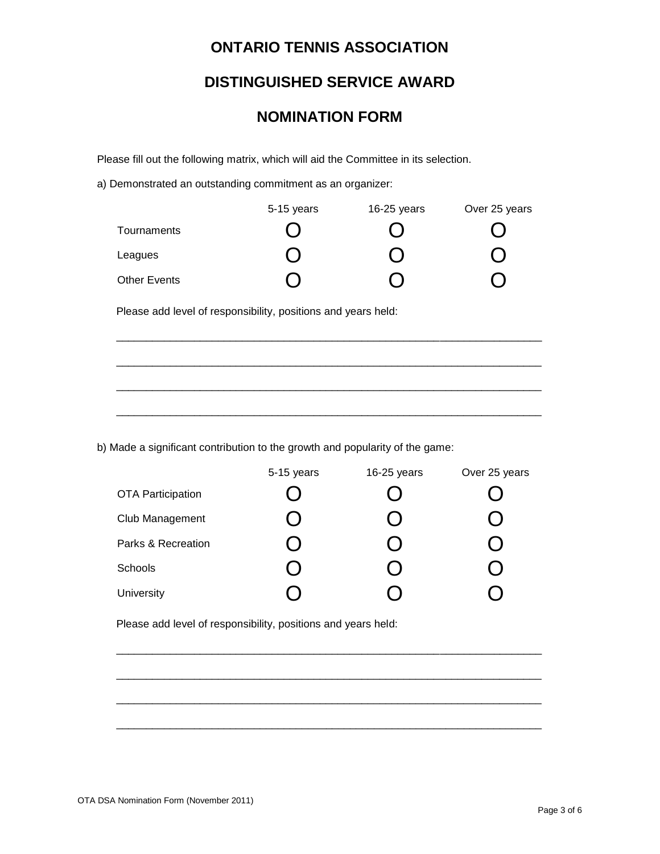## **DISTINGUISHED SERVICE AWARD**

## **NOMINATION FORM**

Please fill out the following matrix, which will aid the Committee in its selection.

a) Demonstrated an outstanding commitment as an organizer:

|              | 5-15 years   | $16-25$ years | Over 25 years |
|--------------|--------------|---------------|---------------|
| Tournaments  | 0            |               |               |
| Leagues      | n            |               |               |
| Other Events | $\mathbf{1}$ |               |               |

\_\_\_\_\_\_\_\_\_\_\_\_\_\_\_\_\_\_\_\_\_\_\_\_\_\_\_\_\_\_\_\_\_\_\_\_\_\_\_\_\_\_\_\_\_\_\_\_\_\_\_\_\_\_\_\_\_\_\_\_\_\_\_\_\_\_\_\_\_\_\_

\_\_\_\_\_\_\_\_\_\_\_\_\_\_\_\_\_\_\_\_\_\_\_\_\_\_\_\_\_\_\_\_\_\_\_\_\_\_\_\_\_\_\_\_\_\_\_\_\_\_\_\_\_\_\_\_\_\_\_\_\_\_\_\_\_\_\_\_\_\_\_

\_\_\_\_\_\_\_\_\_\_\_\_\_\_\_\_\_\_\_\_\_\_\_\_\_\_\_\_\_\_\_\_\_\_\_\_\_\_\_\_\_\_\_\_\_\_\_\_\_\_\_\_\_\_\_\_\_\_\_\_\_\_\_\_\_\_\_\_\_\_\_

\_\_\_\_\_\_\_\_\_\_\_\_\_\_\_\_\_\_\_\_\_\_\_\_\_\_\_\_\_\_\_\_\_\_\_\_\_\_\_\_\_\_\_\_\_\_\_\_\_\_\_\_\_\_\_\_\_\_\_\_\_\_\_\_\_\_\_\_\_\_\_

Please add level of responsibility, positions and years held:

b) Made a significant contribution to the growth and popularity of the game:

|                          | 5-15 years | 16-25 years | Over 25 years |
|--------------------------|------------|-------------|---------------|
| <b>OTA Participation</b> |            |             |               |
| Club Management          |            |             |               |
| Parks & Recreation       |            |             |               |
| Schools                  |            |             |               |
| University               |            |             |               |

\_\_\_\_\_\_\_\_\_\_\_\_\_\_\_\_\_\_\_\_\_\_\_\_\_\_\_\_\_\_\_\_\_\_\_\_\_\_\_\_\_\_\_\_\_\_\_\_\_\_\_\_\_\_\_\_\_\_\_\_\_\_\_\_\_\_\_\_\_\_\_

\_\_\_\_\_\_\_\_\_\_\_\_\_\_\_\_\_\_\_\_\_\_\_\_\_\_\_\_\_\_\_\_\_\_\_\_\_\_\_\_\_\_\_\_\_\_\_\_\_\_\_\_\_\_\_\_\_\_\_\_\_\_\_\_\_\_\_\_\_\_\_

\_\_\_\_\_\_\_\_\_\_\_\_\_\_\_\_\_\_\_\_\_\_\_\_\_\_\_\_\_\_\_\_\_\_\_\_\_\_\_\_\_\_\_\_\_\_\_\_\_\_\_\_\_\_\_\_\_\_\_\_\_\_\_\_\_\_\_\_\_\_\_

\_\_\_\_\_\_\_\_\_\_\_\_\_\_\_\_\_\_\_\_\_\_\_\_\_\_\_\_\_\_\_\_\_\_\_\_\_\_\_\_\_\_\_\_\_\_\_\_\_\_\_\_\_\_\_\_\_\_\_\_\_\_\_\_\_\_\_\_\_\_\_

Please add level of responsibility, positions and years held: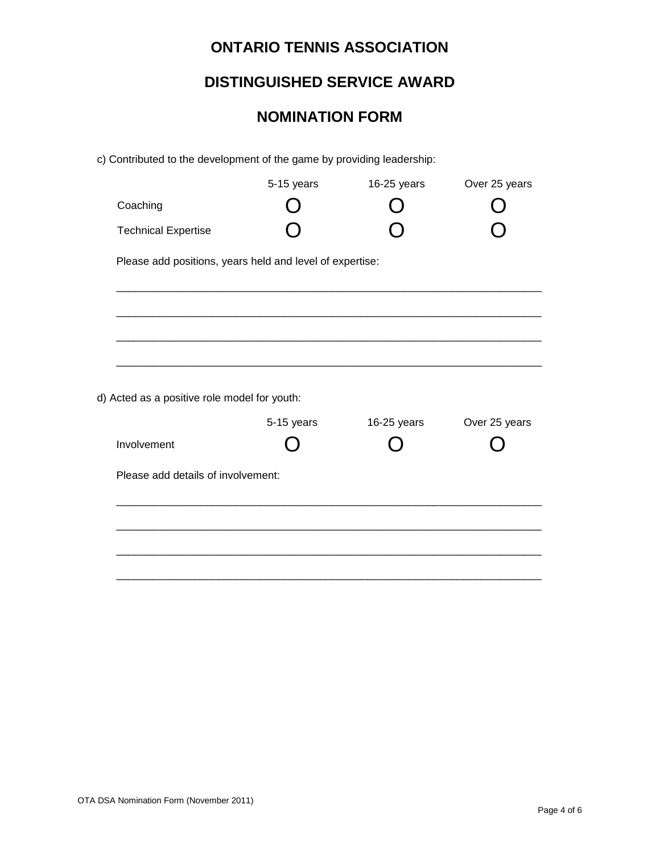## **DISTINGUISHED SERVICE AWARD**

# **NOMINATION FORM**

c) Contributed to the development of the game by providing leadership:

|                                                          | 5-15 years | 16-25 years | Over 25 years |
|----------------------------------------------------------|------------|-------------|---------------|
| Coaching                                                 |            |             |               |
| <b>Technical Expertise</b>                               |            |             |               |
| Please add positions, years held and level of expertise: |            |             |               |
|                                                          |            |             |               |
|                                                          |            |             |               |
|                                                          |            |             |               |
|                                                          |            |             |               |
|                                                          |            |             |               |
|                                                          |            |             |               |
| d) Acted as a positive role model for youth:             | 5-15 years | 16-25 years | Over 25 years |
| Involvement                                              |            |             |               |
| Please add details of involvement:                       |            |             |               |
|                                                          |            |             |               |
|                                                          |            |             |               |
|                                                          |            |             |               |
|                                                          |            |             |               |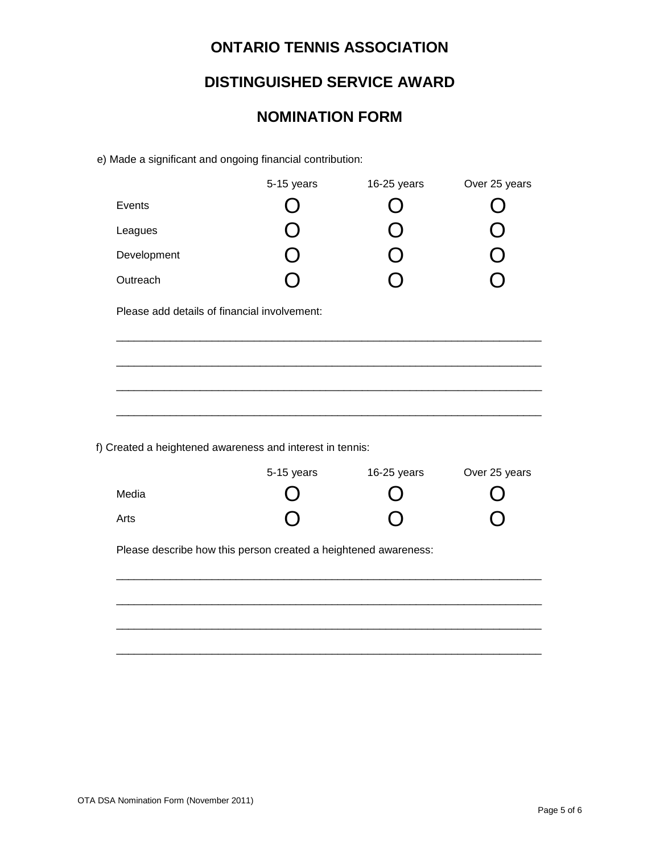## **DISTINGUISHED SERVICE AWARD**

## **NOMINATION FORM**

e) Made a significant and ongoing financial contribution:

|                                              | 5-15 years | 16-25 years | Over 25 years |
|----------------------------------------------|------------|-------------|---------------|
| Events                                       |            |             |               |
| Leagues                                      |            |             |               |
| Development                                  |            |             |               |
| Outreach                                     |            |             |               |
| Please add details of financial involvement: |            |             |               |
|                                              |            |             |               |
|                                              |            |             |               |
|                                              |            |             |               |
|                                              |            |             |               |

f) Created a heightened awareness and interest in tennis:

|       | 5-15 years | $16-25$ years          | Over 25 years          |
|-------|------------|------------------------|------------------------|
| Media |            | $\left( \quad \right)$ |                        |
| Arts  |            | $\left( \right)$       | $\left( \quad \right)$ |

\_\_\_\_\_\_\_\_\_\_\_\_\_\_\_\_\_\_\_\_\_\_\_\_\_\_\_\_\_\_\_\_\_\_\_\_\_\_\_\_\_\_\_\_\_\_\_\_\_\_\_\_\_\_\_\_\_\_\_\_\_\_\_\_\_\_\_\_\_\_\_

\_\_\_\_\_\_\_\_\_\_\_\_\_\_\_\_\_\_\_\_\_\_\_\_\_\_\_\_\_\_\_\_\_\_\_\_\_\_\_\_\_\_\_\_\_\_\_\_\_\_\_\_\_\_\_\_\_\_\_\_\_\_\_\_\_\_\_\_\_\_\_

\_\_\_\_\_\_\_\_\_\_\_\_\_\_\_\_\_\_\_\_\_\_\_\_\_\_\_\_\_\_\_\_\_\_\_\_\_\_\_\_\_\_\_\_\_\_\_\_\_\_\_\_\_\_\_\_\_\_\_\_\_\_\_\_\_\_\_\_\_\_\_

\_\_\_\_\_\_\_\_\_\_\_\_\_\_\_\_\_\_\_\_\_\_\_\_\_\_\_\_\_\_\_\_\_\_\_\_\_\_\_\_\_\_\_\_\_\_\_\_\_\_\_\_\_\_\_\_\_\_\_\_\_\_\_\_\_\_\_\_\_\_\_

Please describe how this person created a heightened awareness: